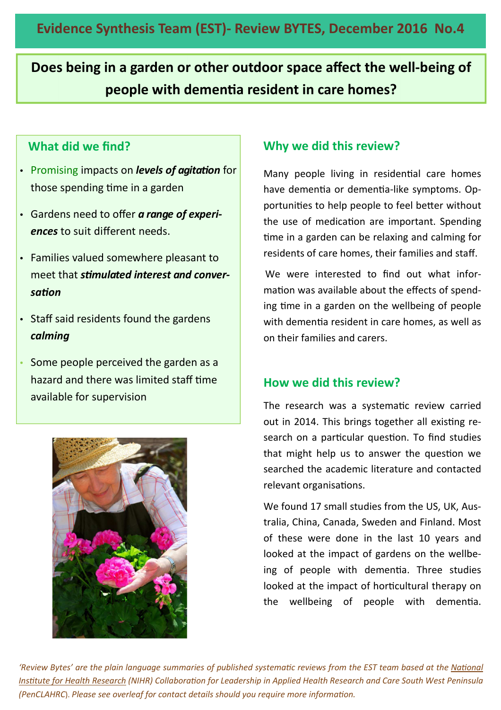**Does being in a garden or other outdoor space affect the well-being of people with dementia resident in care homes?** 

## **What did we find?**

- Promising impacts on *levels of agitation* for those spending time in a garden
- Gardens need to offer *a range of experiences* to suit different needs.
- Families valued somewhere pleasant to meet that *smulated interest and conver*sation
- Staff said residents found the gardens *calming*
- Some people perceived the garden as a hazard and there was limited staff time available for supervision



# **Why we did this review?**

Many people living in residential care homes have dementia or dementia-like symptoms. Opportunities to help people to feel better without the use of medication are important. Spending me in a garden can be relaxing and calming for residents of care homes, their families and staff.

We were interested to find out what information was available about the effects of spending time in a garden on the wellbeing of people with dementia resident in care homes, as well as on their families and carers.

### **How we did this review?**

The research was a systematic review carried out in 2014. This brings together all existing research on a particular question. To find studies that might help us to answer the question we searched the academic literature and contacted relevant organisations.

We found 17 small studies from the US, UK, Australia, China, Canada, Sweden and Finland. Most of these were done in the last 10 years and looked at the impact of gardens on the wellbeing of people with dementia. Three studies looked at the impact of horticultural therapy on the wellbeing of people with dementia.

'Review Bytes' are the plain language summaries of published systematic reviews from the EST team based at the National *Institute for Health Research (NIHR) Collaboration for Leadership in Applied Health Research and Care South West Peninsula (PenCLAHRC). Please see overleaf for contact details should you require more information.*